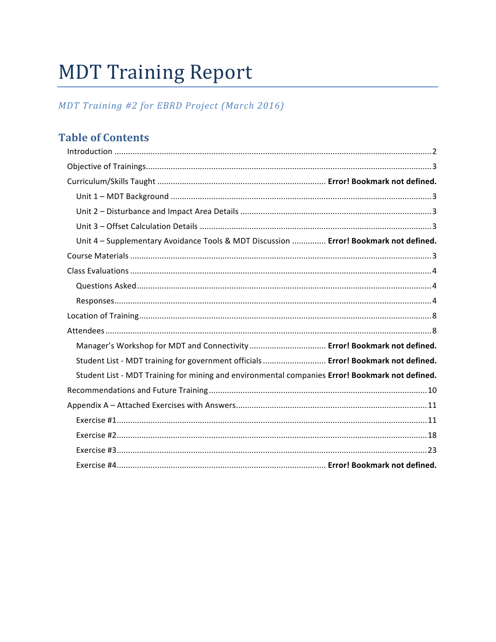# **MDT Training Report**

# MDT Training #2 for EBRD Project (March 2016)

# **Table of Contents**

| Unit 4 - Supplementary Avoidance Tools & MDT Discussion  Error! Bookmark not defined.           |  |
|-------------------------------------------------------------------------------------------------|--|
|                                                                                                 |  |
|                                                                                                 |  |
|                                                                                                 |  |
|                                                                                                 |  |
|                                                                                                 |  |
|                                                                                                 |  |
| Manager's Workshop for MDT and Connectivity  Error! Bookmark not defined.                       |  |
| Student List - MDT training for government officials  Error! Bookmark not defined.              |  |
| Student List - MDT Training for mining and environmental companies Error! Bookmark not defined. |  |
|                                                                                                 |  |
|                                                                                                 |  |
|                                                                                                 |  |
|                                                                                                 |  |
|                                                                                                 |  |
|                                                                                                 |  |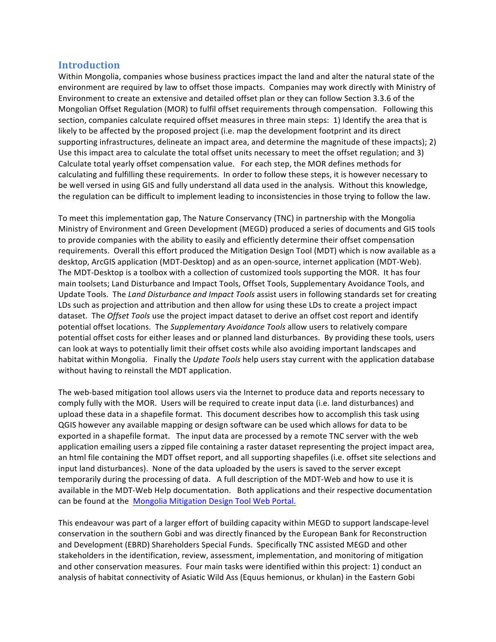## **Introduction**

Within Mongolia, companies whose business practices impact the land and alter the natural state of the environment are required by law to offset those impacts. Companies may work directly with Ministry of Environment to create an extensive and detailed offset plan or they can follow Section 3.3.6 of the Mongolian Offset Regulation (MOR) to fulfil offset requirements through compensation. Following this section, companies calculate required offset measures in three main steps: 1) Identify the area that is likely to be affected by the proposed project (i.e. map the development footprint and its direct supporting infrastructures, delineate an impact area, and determine the magnitude of these impacts); 2) Use this impact area to calculate the total offset units necessary to meet the offset regulation; and 3) Calculate total yearly offset compensation value. For each step, the MOR defines methods for calculating and fulfilling these requirements. In order to follow these steps, it is however necessary to be well versed in using GIS and fully understand all data used in the analysis. Without this knowledge, the regulation can be difficult to implement leading to inconsistencies in those trying to follow the law.

To meet this implementation gap, The Nature Conservancy (TNC) in partnership with the Mongolia Ministry of Environment and Green Development (MEGD) produced a series of documents and GIS tools to provide companies with the ability to easily and efficiently determine their offset compensation requirements. Overall this effort produced the Mitigation Design Tool (MDT) which is now available as a desktop, ArcGIS application (MDT-Desktop) and as an open-source, internet application (MDT-Web). The MDT-Desktop is a toolbox with a collection of customized tools supporting the MOR. It has four main toolsets; Land Disturbance and Impact Tools, Offset Tools, Supplementary Avoidance Tools, and Update Tools. The Land Disturbance and Impact Tools assist users in following standards set for creating LDs such as projection and attribution and then allow for using these LDs to create a project impact dataset. The *Offset Tools* use the project impact dataset to derive an offset cost report and identify potential offset locations. The *Supplementary Avoidance Tools* allow users to relatively compare potential offset costs for either leases and or planned land disturbances. By providing these tools, users can look at ways to potentially limit their offset costs while also avoiding important landscapes and habitat within Mongolia. Finally the *Update Tools* help users stay current with the application database without having to reinstall the MDT application.

The web-based mitigation tool allows users via the Internet to produce data and reports necessary to comply fully with the MOR. Users will be required to create input data (i.e. land disturbances) and upload these data in a shapefile format. This document describes how to accomplish this task using QGIS however any available mapping or design software can be used which allows for data to be exported in a shapefile format. The input data are processed by a remote TNC server with the web application emailing users a zipped file containing a raster dataset representing the project impact area, an html file containing the MDT offset report, and all supporting shapefiles (i.e. offset site selections and input land disturbances). None of the data uploaded by the users is saved to the server except temporarily during the processing of data. A full description of the MDT-Web and how to use it is available in the MDT-Web Help documentation. Both applications and their respective documentation can be found at the Mongolia Mitigation Design Tool Web Portal.

This endeavour was part of a larger effort of building capacity within MEGD to support landscape-level conservation in the southern Gobi and was directly financed by the European Bank for Reconstruction and Development (EBRD) Shareholders Special Funds. Specifically TNC assisted MEGD and other stakeholders in the identification, review, assessment, implementation, and monitoring of mitigation and other conservation measures. Four main tasks were identified within this project: 1) conduct an analysis of habitat connectivity of Asiatic Wild Ass (Equus hemionus, or khulan) in the Eastern Gobi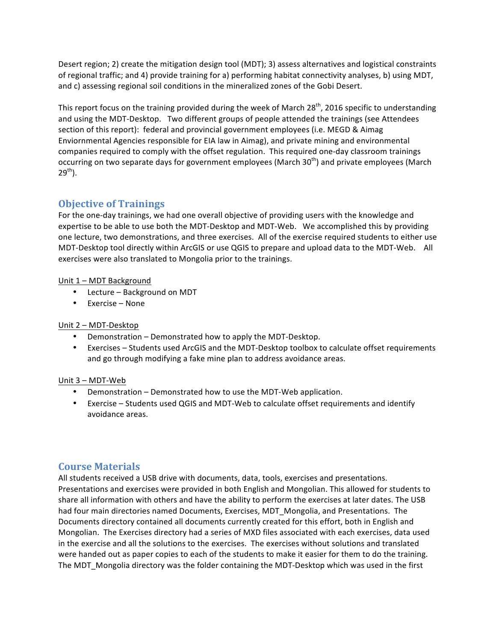Desert region; 2) create the mitigation design tool (MDT); 3) assess alternatives and logistical constraints of regional traffic; and 4) provide training for a) performing habitat connectivity analyses, b) using MDT, and c) assessing regional soil conditions in the mineralized zones of the Gobi Desert.

This report focus on the training provided during the week of March  $28<sup>th</sup>$ , 2016 specific to understanding and using the MDT-Desktop. Two different groups of people attended the trainings (see Attendees section of this report): federal and provincial government employees (i.e. MEGD & Aimag Enviornmental Agencies responsible for EIA law in Aimag), and private mining and environmental companies required to comply with the offset regulation. This required one-day classroom trainings occurring on two separate days for government employees (March 30<sup>th</sup>) and private employees (March  $29^{th}$ ).

# **Objective of Trainings**

For the one-day trainings, we had one overall objective of providing users with the knowledge and expertise to be able to use both the MDT-Desktop and MDT-Web. We accomplished this by providing one lecture, two demonstrations, and three exercises. All of the exercise required students to either use MDT-Desktop tool directly within ArcGIS or use QGIS to prepare and upload data to the MDT-Web. All exercises were also translated to Mongolia prior to the trainings.

### Unit 1 - MDT Background

- Lecture Background on MDT
- $\bullet$  Exercise None

#### Unit 2 - MDT-Desktop

- Demonstration Demonstrated how to apply the MDT-Desktop.
- Exercises Students used ArcGIS and the MDT-Desktop toolbox to calculate offset requirements and go through modifying a fake mine plan to address avoidance areas.

#### Unit 3 – MDT-Web

- Demonstration Demonstrated how to use the MDT-Web application.
- Exercise Students used QGIS and MDT-Web to calculate offset requirements and identify avoidance areas.

## **Course Materials**

All students received a USB drive with documents, data, tools, exercises and presentations. Presentations and exercises were provided in both English and Mongolian. This allowed for students to share all information with others and have the ability to perform the exercises at later dates. The USB had four main directories named Documents, Exercises, MDT\_Mongolia, and Presentations. The Documents directory contained all documents currently created for this effort, both in English and Mongolian. The Exercises directory had a series of MXD files associated with each exercises, data used in the exercise and all the solutions to the exercises. The exercises without solutions and translated were handed out as paper copies to each of the students to make it easier for them to do the training. The MDT Mongolia directory was the folder containing the MDT-Desktop which was used in the first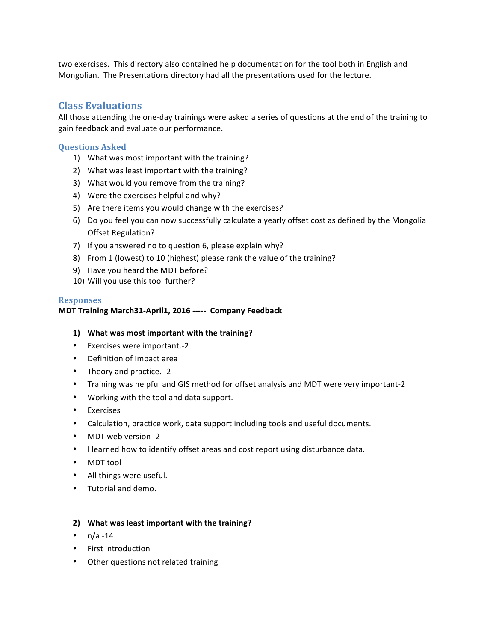two exercises. This directory also contained help documentation for the tool both in English and Mongolian. The Presentations directory had all the presentations used for the lecture.

## **Class Evaluations**

All those attending the one-day trainings were asked a series of questions at the end of the training to gain feedback and evaluate our performance.

#### **Questions Asked**

- 1) What was most important with the training?
- 2) What was least important with the training?
- 3) What would you remove from the training?
- 4) Were the exercises helpful and why?
- 5) Are there items you would change with the exercises?
- 6) Do you feel you can now successfully calculate a yearly offset cost as defined by the Mongolia Offset Regulation?
- 7) If you answered no to question  $6$ , please explain why?
- 8) From 1 (lowest) to 10 (highest) please rank the value of the training?
- 9) Have you heard the MDT before?
- 10) Will you use this tool further?

#### **Responses**

#### **MDT Training March31-April1, 2016 ----- Company Feedback**

#### **1)** What was most important with the training?

- Exercises were important.-2
- Definition of Impact area
- Theory and practice. -2
- Training was helpful and GIS method for offset analysis and MDT were very important-2
- Working with the tool and data support.
- Exercises
- Calculation, practice work, data support including tools and useful documents.
- MDT web version -2
- I learned how to identify offset areas and cost report using disturbance data.
- MDT tool
- All things were useful.
- Tutorial and demo.

#### 2) What was least important with the training?

- $n/a 14$
- First introduction
- Other questions not related training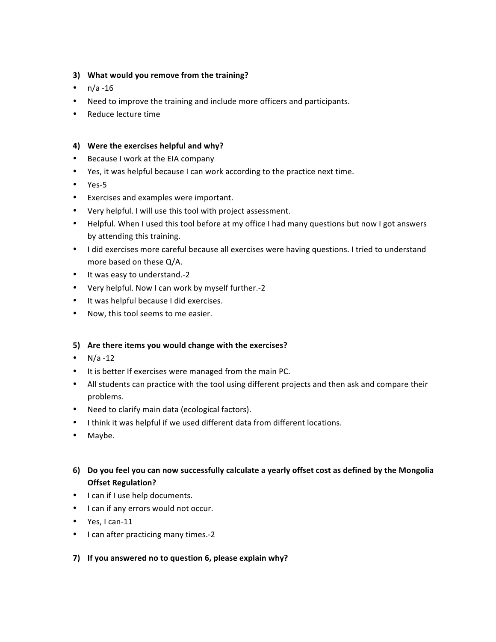### **3)** What would you remove from the training?

- $n/a 16$
- Need to improve the training and include more officers and participants.
- Reduce lecture time

#### 4) Were the exercises helpful and why?

- Because I work at the EIA company
- Yes, it was helpful because I can work according to the practice next time.
- Yes-5
- Exercises and examples were important.
- Very helpful. I will use this tool with project assessment.
- Helpful. When I used this tool before at my office I had many questions but now I got answers by attending this training.
- I did exercises more careful because all exercises were having questions. I tried to understand more based on these Q/A.
- It was easy to understand.-2
- Very helpful. Now I can work by myself further.-2
- It was helpful because I did exercises.
- Now, this tool seems to me easier.

#### **5)** Are there items you would change with the exercises?

- $N/a 12$
- It is better If exercises were managed from the main PC.
- All students can practice with the tool using different projects and then ask and compare their problems.
- Need to clarify main data (ecological factors).
- I think it was helpful if we used different data from different locations.
- Maybe.
- **6)** Do you feel you can now successfully calculate a yearly offset cost as defined by the Mongolia **Offset Regulation?**
- I can if I use help documents.
- I can if any errors would not occur.
- Yes, I can-11
- I can after practicing many times.-2
- 7) If you answered no to question 6, please explain why?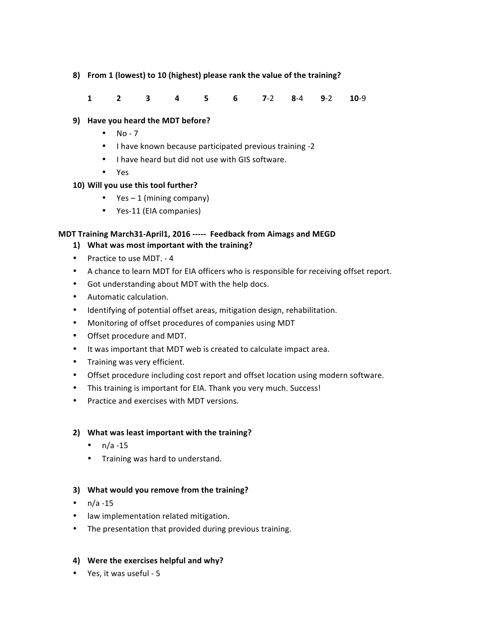#### 8) From 1 (lowest) to 10 (highest) please rank the value of the training?

**1 2 3 4 5 6 7**-2 **8**-4 **9**-2 **10**-9

### **9)** Have you heard the MDT before?

- $\bullet$  No 7
- I have known because participated previous training -2
- I have heard but did not use with GIS software.
- Yes

### 10) Will you use this tool further?

- Yes  $-1$  (mining company)
- Yes-11 (EIA companies)

### **MDT Training March31-April1, 2016 ----- Feedback from Aimags and MEGD**

- 1) What was most important with the training?
- Practice to use MDT. 4
- A chance to learn MDT for EIA officers who is responsible for receiving offset report.
- Got understanding about MDT with the help docs.
- Automatic calculation.
- Identifying of potential offset areas, mitigation design, rehabilitation.
- Monitoring of offset procedures of companies using MDT
- Offset procedure and MDT.
- It was important that MDT web is created to calculate impact area.
- Training was very efficient.
- Offset procedure including cost report and offset location using modern software.
- This training is important for EIA. Thank you very much. Success!
- Practice and exercises with MDT versions.

#### 2) What was least important with the training?

- $n/a 15$
- Training was hard to understand.

#### **3)** What would you remove from the training?

- $n/a 15$
- law implementation related mitigation.
- The presentation that provided during previous training.

#### 4) Were the exercises helpful and why?

• Yes, it was useful - 5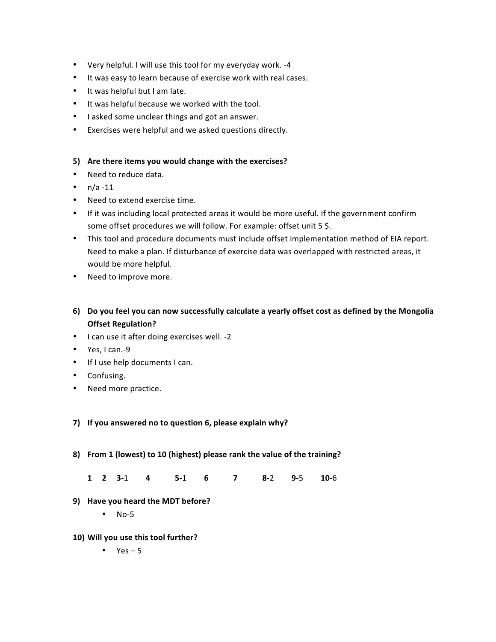- Very helpful. I will use this tool for my everyday work. -4
- It was easy to learn because of exercise work with real cases.
- It was helpful but I am late.
- It was helpful because we worked with the tool.
- I asked some unclear things and got an answer.
- Exercises were helpful and we asked questions directly.

#### **5)** Are there items you would change with the exercises?

- Need to reduce data.
- $n/a 11$
- Need to extend exercise time.
- If it was including local protected areas it would be more useful. If the government confirm some offset procedures we will follow. For example: offset unit 5 \$.
- This tool and procedure documents must include offset implementation method of EIA report. Need to make a plan. If disturbance of exercise data was overlapped with restricted areas, it would be more helpful.
- Need to improve more.
- **6)** Do you feel you can now successfully calculate a yearly offset cost as defined by the Mongolia **Offset Regulation?**
- I can use it after doing exercises well. -2
- Yes, I can.-9
- If I use help documents I can.
- Confusing.
- Need more practice.

#### 7) If you answered no to question 6, please explain why?

- 8) From 1 (lowest) to 10 (highest) please rank the value of the training?
	- **1 2 3-**1 **4 5-**1 **6 7 8-**2 **9-**5 **10-**6
- **9)** Have you heard the MDT before?
	- $\bullet$  No-5
- 10) Will you use this tool further?
	- $Yes 5$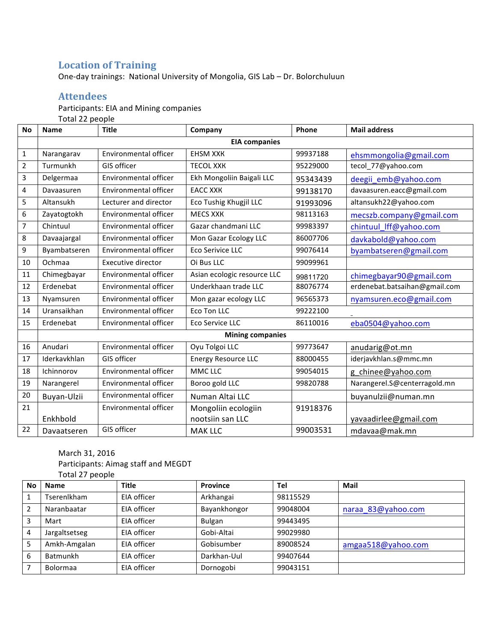# **Location of Training**

One-day trainings: National University of Mongolia, GIS Lab – Dr. Bolorchuluun

# **Attendees**

Participants: EIA and Mining companies

Total 22 people

| <b>No</b>      | <b>Name</b>  | <b>Title</b>          | Company                     | Phone    | <b>Mail address</b>           |
|----------------|--------------|-----------------------|-----------------------------|----------|-------------------------------|
|                |              |                       | <b>EIA companies</b>        |          |                               |
| 1              | Narangarav   | Environmental officer | <b>EHSM XXK</b>             | 99937188 | ehsmmongolia@gmail.com        |
| $\overline{2}$ | Turmunkh     | GIS officer           | <b>TECOL XXK</b>            | 95229000 | tecol_77@yahoo.com            |
| 3              | Delgermaa    | Environmental officer | Ekh Mongoliin Baigali LLC   | 95343439 | deegii emb@yahoo.com          |
| 4              | Davaasuren   | Environmental officer | <b>EACC XXK</b>             | 99138170 | davaasuren.eacc@gmail.com     |
| 5              | Altansukh    | Lecturer and director | Eco Tushig Khugjil LLC      | 91993096 | altansukh22@yahoo.com         |
| 6              | Zayatogtokh  | Environmental officer | <b>MECS XXK</b>             | 98113163 | mecszb.company@gmail.com      |
| 7              | Chintuul     | Environmental officer | Gazar chandmani LLC         | 99983397 | chintuul_lff@yahoo.com        |
| 8              | Davaajargal  | Environmental officer | Mon Gazar Ecology LLC       | 86007706 | davkabold@yahoo.com           |
| 9              | Byambatseren | Environmental officer | Eco Serivice LLC            | 99076414 | byambatseren@gmail.com        |
| 10             | Ochmaa       | Executive director    | Oi Bus LLC                  | 99099961 |                               |
| 11             | Chimegbayar  | Environmental officer | Asian ecologic resource LLC | 99811720 | chimegbayar90@gmail.com       |
| 12             | Erdenebat    | Environmental officer | Underkhaan trade LLC        | 88076774 | erdenebat.batsaihan@gmail.com |
| 13             | Nyamsuren    | Environmental officer | Mon gazar ecology LLC       | 96565373 | nyamsuren.eco@gmail.com       |
| 14             | Uransaikhan  | Environmental officer | Eco Ton LLC                 | 99222100 |                               |
| 15             | Erdenebat    | Environmental officer | Eco Service LLC             | 86110016 | eba0504@yahoo.com             |
|                |              |                       | <b>Mining companies</b>     |          |                               |
| 16             | Anudari      | Environmental officer | Oyu Tolgoi LLC              | 99773647 | anudarig@ot.mn                |
| 17             | Iderkavkhlan | GIS officer           | <b>Energy Resource LLC</b>  | 88000455 | iderjavkhlan.s@mmc.mn         |
| 18             | Ichinnorov   | Environmental officer | MMC LLC                     | 99054015 | g chinee@yahoo.com            |
| 19             | Narangerel   | Environmental officer | Boroo gold LLC              | 99820788 | Narangerel.S@centerragold.mn  |
| 20             | Buyan-Ulzii  | Environmental officer | Numan Altai LLC             |          | buyanulzii@numan.mn           |
| 21             |              | Environmental officer | Mongoliin ecologiin         | 91918376 |                               |
|                | Enkhbold     |                       | nootsiin san LLC            |          | yavaadirlee@gmail.com         |
| 22             | Davaatseren  | GIS officer           | <b>MAK LLC</b>              | 99003531 | mdavaa@mak.mn                 |

## March 31, 2016

Participants: Aimag staff and MEGDT

|    | Total 27 people    |              |              |          |                    |
|----|--------------------|--------------|--------------|----------|--------------------|
| No | <b>Name</b>        | <b>Title</b> | Province     | Tel      | Mail               |
|    | <b>Tserenlkham</b> | EIA officer  | Arkhangai    | 98115529 |                    |
| 2  | Naranbaatar        | EIA officer  | Bayankhongor | 99048004 | naraa 83@yahoo.com |
| 3  | Mart               | EIA officer  | Bulgan       | 99443495 |                    |
| 4  | Jargaltsetseg      | EIA officer  | Gobi-Altai   | 99029980 |                    |
| 5  | Amkh-Amgalan       | EIA officer  | Gobisumber   | 89008524 | amgaa518@yahoo.com |
| 6  | Batmunkh           | EIA officer  | Darkhan-Uul  | 99407644 |                    |
|    | <b>Bolormaa</b>    | EIA officer  | Dornogobi    | 99043151 |                    |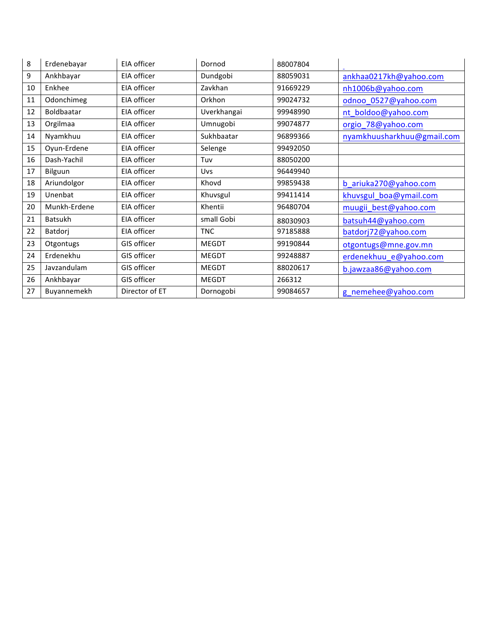| 8  | Erdenebayar    | EIA officer    | Dornod       | 88007804 |                            |
|----|----------------|----------------|--------------|----------|----------------------------|
| 9  | Ankhbayar      | EIA officer    | Dundgobi     | 88059031 | ankhaa0217kh@yahoo.com     |
| 10 | Enkhee         | EIA officer    | Zavkhan      | 91669229 | nh1006b@yahoo.com          |
| 11 | Odonchimeg     | EIA officer    | Orkhon       | 99024732 | odnoo_0527@yahoo.com       |
| 12 | Boldbaatar     | EIA officer    | Uverkhangai  | 99948990 | nt_boldoo@yahoo.com        |
| 13 | Orgilmaa       | EIA officer    | Umnugobi     | 99074877 | orgio_78@yahoo.com         |
| 14 | Nyamkhuu       | EIA officer    | Sukhbaatar   | 96899366 | nyamkhuusharkhuu@gmail.com |
| 15 | Oyun-Erdene    | EIA officer    | Selenge      | 99492050 |                            |
| 16 | Dash-Yachil    | EIA officer    | Tuv          | 88050200 |                            |
| 17 | Bilguun        | EIA officer    | <b>Uvs</b>   | 96449940 |                            |
| 18 | Ariundolgor    | EIA officer    | Khovd        | 99859438 | b_ariuka270@yahoo.com      |
| 19 | Unenbat        | EIA officer    | Khuvsgul     | 99411414 | khuvsgul_boa@ymail.com     |
| 20 | Munkh-Erdene   | EIA officer    | Khentii      | 96480704 | muugii_best@yahoo.com      |
| 21 | <b>Batsukh</b> | EIA officer    | small Gobi   | 88030903 | batsuh44@yahoo.com         |
| 22 | Batdorj        | EIA officer    | <b>TNC</b>   | 97185888 | batdorj72@yahoo.com        |
| 23 | Otgontugs      | GIS officer    | <b>MEGDT</b> | 99190844 | otgontugs@mne.gov.mn       |
| 24 | Erdenekhu      | GIS officer    | <b>MEGDT</b> | 99248887 | erdenekhuu_e@yahoo.com     |
| 25 | Javzandulam    | GIS officer    | <b>MEGDT</b> | 88020617 | b.jawzaa86@yahoo.com       |
| 26 | Ankhbayar      | GIS officer    | <b>MEGDT</b> | 266312   |                            |
| 27 | Buyannemekh    | Director of ET | Dornogobi    | 99084657 | g_nemehee@yahoo.com        |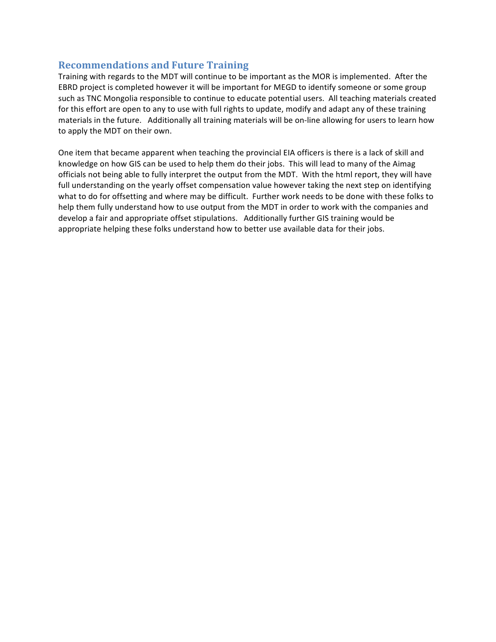## **Recommendations and Future Training**

Training with regards to the MDT will continue to be important as the MOR is implemented. After the EBRD project is completed however it will be important for MEGD to identify someone or some group such as TNC Mongolia responsible to continue to educate potential users. All teaching materials created for this effort are open to any to use with full rights to update, modify and adapt any of these training materials in the future. Additionally all training materials will be on-line allowing for users to learn how to apply the MDT on their own.

One item that became apparent when teaching the provincial EIA officers is there is a lack of skill and knowledge on how GIS can be used to help them do their jobs. This will lead to many of the Aimag officials not being able to fully interpret the output from the MDT. With the html report, they will have full understanding on the yearly offset compensation value however taking the next step on identifying what to do for offsetting and where may be difficult. Further work needs to be done with these folks to help them fully understand how to use output from the MDT in order to work with the companies and develop a fair and appropriate offset stipulations. Additionally further GIS training would be appropriate helping these folks understand how to better use available data for their jobs.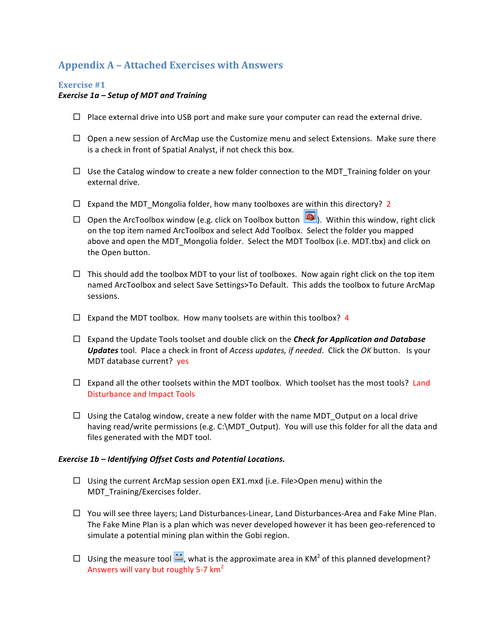# **Appendix A – Attached Exercises with Answers**

#### **Exercise** #1

#### *Exercise 1a – Setup of MDT and Training*

- $\Box$  Place external drive into USB port and make sure your computer can read the external drive.
- $\Box$  Open a new session of ArcMap use the Customize menu and select Extensions. Make sure there is a check in front of Spatial Analyst, if not check this box.
- $\Box$  Use the Catalog window to create a new folder connection to the MDT Training folder on your external drive.
- $\Box$  Expand the MDT\_Mongolia folder, how many toolboxes are within this directory? 2
- $\square$  Open the ArcToolbox window (e.g. click on Toolbox button  $\square$ ). Within this window, right click on the top item named ArcToolbox and select Add Toolbox. Select the folder you mapped above and open the MDT Mongolia folder. Select the MDT Toolbox (i.e. MDT.tbx) and click on the Open button.
- $\Box$  This should add the toolbox MDT to your list of toolboxes. Now again right click on the top item named ArcToolbox and select Save Settings>To Default. This adds the toolbox to future ArcMap sessions.
- $\Box$  Expand the MDT toolbox. How many toolsets are within this toolbox? 4
- $\Box$  Expand the Update Tools toolset and double click on the **Check for Application and Database** Updates tool. Place a check in front of *Access updates, if needed*. Click the OK button. Is your MDT database current? yes
- $\square$  Expand all the other toolsets within the MDT toolbox. Which toolset has the most tools? Land Disturbance and Impact Tools
- $\Box$  Using the Catalog window, create a new folder with the name MDT Output on a local drive having read/write permissions (e.g. C:\MDT\_Output). You will use this folder for all the data and files generated with the MDT tool.

#### *Exercise 1b – Identifying Offset Costs and Potential Locations.*

- $\square$  Using the current ArcMap session open EX1.mxd (i.e. File>Open menu) within the MDT\_Training/Exercises folder.
- $\Box$  You will see three layers; Land Disturbances-Linear, Land Disturbances-Area and Fake Mine Plan. The Fake Mine Plan is a plan which was never developed however it has been geo-referenced to simulate a potential mining plan within the Gobi region.
- □ Using the measure tool  $\frac{2\pi}{\pi}$ , what is the approximate area in KM<sup>2</sup> of this planned development? Answers will vary but roughly 5-7  $km<sup>2</sup>$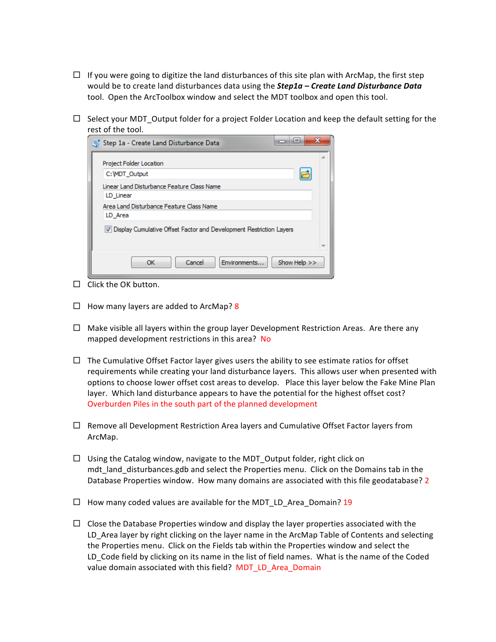- $\Box$  If you were going to digitize the land disturbances of this site plan with ArcMap, the first step would be to create land disturbances data using the **Step1a** – **Create Land Disturbance Data** tool. Open the ArcToolbox window and select the MDT toolbox and open this tool.
- $\Box$  Select your MDT\_Output folder for a project Folder Location and keep the default setting for the rest of the tool.

| ▭<br>Step 1a - Create Land Disturbance Data                                                                    | x |
|----------------------------------------------------------------------------------------------------------------|---|
| Project Folder Location<br>C: MDT Output                                                                       |   |
| Linear Land Disturbance Feature Class Name<br>LD Linear<br>Area Land Disturbance Feature Class Name<br>LD Area |   |
| V Display Cumulative Offset Factor and Development Restriction Layers                                          |   |
| Cancel<br>Show Help >><br>Environments<br>ОК                                                                   |   |

- $\Box$  Click the OK button.
- $\Box$  How many layers are added to ArcMap? 8
- $\Box$  Make visible all layers within the group layer Development Restriction Areas. Are there any mapped development restrictions in this area? No
- $\Box$  The Cumulative Offset Factor layer gives users the ability to see estimate ratios for offset requirements while creating your land disturbance layers. This allows user when presented with options to choose lower offset cost areas to develop. Place this layer below the Fake Mine Plan layer. Which land disturbance appears to have the potential for the highest offset cost? Overburden Piles in the south part of the planned development
- $\square$  Remove all Development Restriction Area layers and Cumulative Offset Factor layers from ArcMap.
- $\Box$  Using the Catalog window, navigate to the MDT\_Output folder, right click on mdt land disturbances.gdb and select the Properties menu. Click on the Domains tab in the Database Properties window. How many domains are associated with this file geodatabase? 2
- $\Box$  How many coded values are available for the MDT LD Area Domain? 19
- $\Box$  Close the Database Properties window and display the layer properties associated with the LD Area layer by right clicking on the layer name in the ArcMap Table of Contents and selecting the Properties menu. Click on the Fields tab within the Properties window and select the LD Code field by clicking on its name in the list of field names. What is the name of the Coded value domain associated with this field? MDT LD Area\_Domain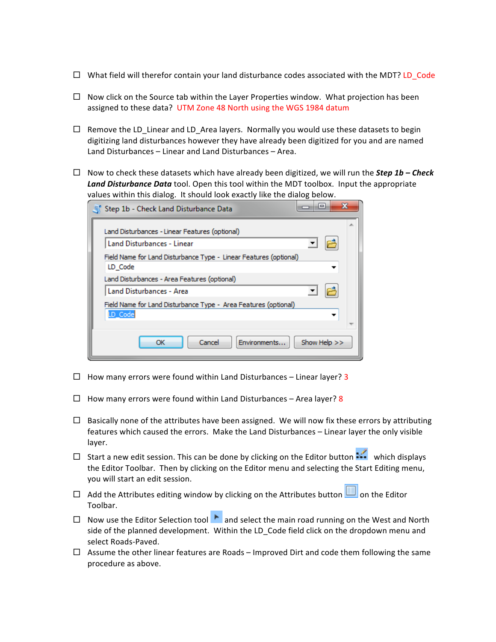- $\Box$  What field will therefor contain your land disturbance codes associated with the MDT? LD Code
- $\Box$  Now click on the Source tab within the Layer Properties window. What projection has been assigned to these data? UTM Zone 48 North using the WGS 1984 datum
- $\Box$  Remove the LD\_Linear and LD\_Area layers. Normally you would use these datasets to begin digitizing land disturbances however they have already been digitized for you and are named Land Disturbances – Linear and Land Disturbances – Area.
- $\Box$  Now to check these datasets which have already been digitized, we will run the *Step 1b Check* **Land Disturbance Data** tool. Open this tool within the MDT toolbox. Input the appropriate values within this dialog. It should look exactly like the dialog below.

| Step 1b - Check Land Disturbance Data                                        |  |
|------------------------------------------------------------------------------|--|
| Land Disturbances - Linear Features (optional)                               |  |
| Land Disturbances - Linear                                                   |  |
| Field Name for Land Disturbance Type - Linear Features (optional)<br>LD Code |  |
| Land Disturbances - Area Features (optional)                                 |  |
| Land Disturbances - Area                                                     |  |
| Field Name for Land Disturbance Type - Area Features (optional)<br>LD_Code   |  |
|                                                                              |  |
| Show Help >><br>OK<br>Cancel<br>Environments                                 |  |

- $\Box$  How many errors were found within Land Disturbances Linear layer? 3
- $\Box$  How many errors were found within Land Disturbances Area layer? 8
- $\Box$  Basically none of the attributes have been assigned. We will now fix these errors by attributing features which caused the errors. Make the Land Disturbances – Linear layer the only visible layer.
- $\Box$  Start a new edit session. This can be done by clicking on the Editor button  $\cdots$  which displays the Editor Toolbar. Then by clicking on the Editor menu and selecting the Start Editing menu, you will start an edit session.
- □ Add the Attributes editing window by clicking on the Attributes button  $\Box$  on the Editor Toolbar.
- $\square$  Now use the Editor Selection tool  $\square$  and select the main road running on the West and North side of the planned development. Within the LD\_Code field click on the dropdown menu and select Roads-Paved.
- $\Box$  Assume the other linear features are Roads Improved Dirt and code them following the same procedure as above.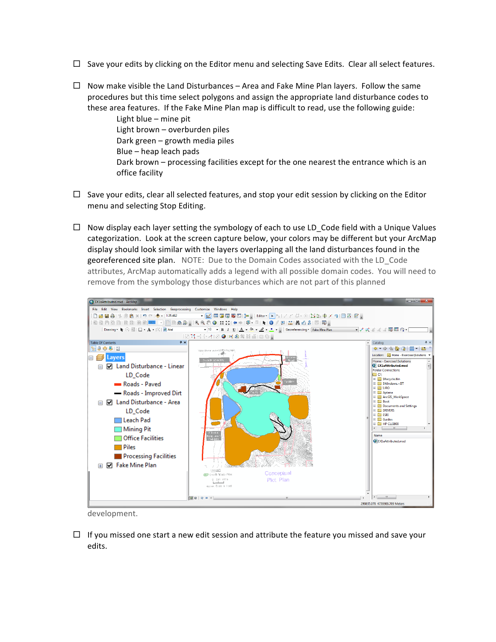- $\Box$  Save your edits by clicking on the Editor menu and selecting Save Edits. Clear all select features.
- $\Box$  Now make visible the Land Disturbances Area and Fake Mine Plan layers. Follow the same procedures but this time select polygons and assign the appropriate land disturbance codes to these area features. If the Fake Mine Plan map is difficult to read, use the following guide:

Light blue  $-$  mine pit Light brown - overburden piles Dark green  $-$  growth media piles  $Blue - heap$  leach pads Dark brown – processing facilities except for the one nearest the entrance which is an office facility

- $\Box$  Save your edits, clear all selected features, and stop your edit session by clicking on the Editor menu and selecting Stop Editing.
- $\Box$  Now display each layer setting the symbology of each to use LD\_Code field with a Unique Values categorization. Look at the screen capture below, your colors may be different but your ArcMap display should look similar with the layers overlapping all the land disturbances found in the georeferenced site plan. NOTE: Due to the Domain Codes associated with the LD Code attributes, ArcMap automatically adds a legend with all possible domain codes. You will need to remove from the symbology those disturbances which are not part of this planned



development.

 $\Box$  If you missed one start a new edit session and attribute the feature you missed and save your edits.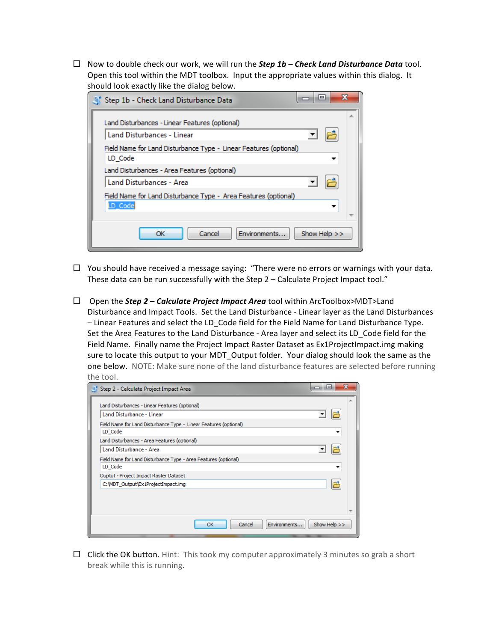$\Box$  Now to double check our work, we will run the **Step 1b – Check Land Disturbance Data** tool. Open this tool within the MDT toolbox. Input the appropriate values within this dialog. It should look exactly like the dialog below.

| $\qquad \qquad \blacksquare$<br>Step 1b - Check Land Disturbance Data        |  |
|------------------------------------------------------------------------------|--|
| Land Disturbances - Linear Features (optional)<br>Land Disturbances - Linear |  |
| Field Name for Land Disturbance Type - Linear Features (optional)<br>LD Code |  |
| Land Disturbances - Area Features (optional)<br>Land Disturbances - Area     |  |
| Field Name for Land Disturbance Type - Area Features (optional)<br>LD_Code   |  |
| Cancel<br>Show Help $>>$<br>Environments<br>ОК                               |  |

- $\Box$  You should have received a message saying: "There were no errors or warnings with your data. These data can be run successfully with the Step  $2$  – Calculate Project Impact tool."
- □ Open the *Step 2 Calculate Project Impact Area* tool within ArcToolbox>MDT>Land Disturbance and Impact Tools. Set the Land Disturbance - Linear layer as the Land Disturbances - Linear Features and select the LD Code field for the Field Name for Land Disturbance Type. Set the Area Features to the Land Disturbance - Area layer and select its LD Code field for the Field Name. Finally name the Project Impact Raster Dataset as Ex1ProjectImpact.img making sure to locate this output to your MDT\_Output folder. Your dialog should look the same as the one below. NOTE: Make sure none of the land disturbance features are selected before running the tool.

| Step 2 - Calculate Project Impact Area                                                                                                                                                                      | $\qquad \qquad \blacksquare$ |
|-------------------------------------------------------------------------------------------------------------------------------------------------------------------------------------------------------------|------------------------------|
| Land Disturbances - Linear Features (optional)<br>Land Disturbance - Linear<br>Field Name for Land Disturbance Type - Linear Features (optional)<br>LD_Code<br>Land Disturbances - Area Features (optional) | ▼<br>▼                       |
| Land Disturbance - Area<br>Field Name for Land Disturbance Type - Area Features (optional)<br>LD_Code                                                                                                       |                              |
| Ouptut - Project Impact Raster Dataset<br>C: WDT Output \Ex 1ProjectImpact.imq                                                                                                                              | r                            |
| Environments<br>OK<br>Cancel                                                                                                                                                                                | Show Help >>                 |

 $\Box$  Click the OK button. Hint: This took my computer approximately 3 minutes so grab a short break while this is running.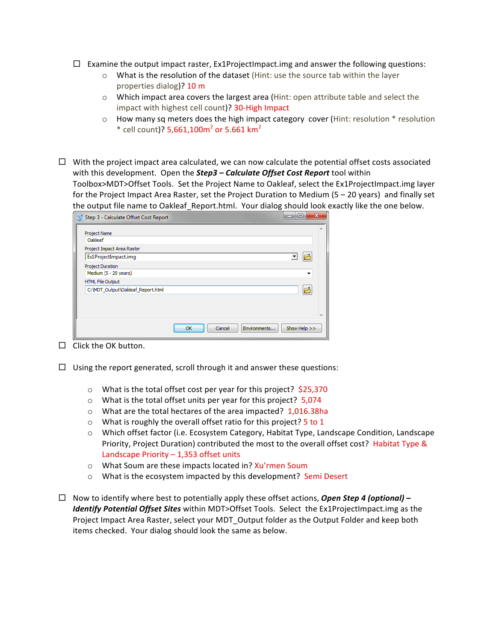- $\Box$  Examine the output impact raster, Ex1ProjectImpact.img and answer the following questions:
	- $\circ$  What is the resolution of the dataset (Hint: use the source tab within the layer properties dialog)?  $10 \text{ m}$
	- $\circ$  Which impact area covers the largest area (Hint: open attribute table and select the impact with highest cell count)? 30-High Impact
	- $\circ$  How many sq meters does the high impact category cover (Hint: resolution  $*$  resolution  $*$  cell count)? 5,661,100m<sup>2</sup> or 5.661 km<sup>2</sup>
- $\Box$  With the project impact area calculated, we can now calculate the potential offset costs associated with this development. Open the **Step3** - **Calculate Offset Cost Report** tool within Toolbox>MDT>Offset Tools. Set the Project Name to Oakleaf, select the Ex1ProjectImpact.img layer for the Project Impact Area Raster, set the Project Duration to Medium (5 – 20 years) and finally set the output file name to Oakleaf Report.html. Your dialog should look exactly like the one below.

| <b>Project Name</b><br>Oakleaf    |                          |
|-----------------------------------|--------------------------|
| Project Impact Area Raster        |                          |
| Ex1ProjectImpact.img              | $\overline{\phantom{a}}$ |
| <b>Project Duration</b>           |                          |
| Medium (5 - 20 years)             |                          |
| HTML File Output                  |                          |
| C: WDT_Output\Oakleaf_Report.html | Ë                        |
|                                   |                          |
|                                   |                          |
|                                   |                          |

- $\Box$  Click the OK button.
- $\Box$  Using the report generated, scroll through it and answer these questions:
	- $\circ$  What is the total offset cost per year for this project?  $$25,370$
	- $\circ$  What is the total offset units per year for this project? 5,074
	- $\circ$  What are the total hectares of the area impacted? 1,016.38ha
	- $\circ$  What is roughly the overall offset ratio for this project? 5 to 1
	- o Which offset factor (i.e. Ecosystem Category, Habitat Type, Landscape Condition, Landscape Priority, Project Duration) contributed the most to the overall offset cost? Habitat Type & Landscape Priority  $- 1,353$  offset units
	- o What Soum are these impacts located in? Xu'rmen Soum
	- $\circ$  What is the ecosystem impacted by this development? Semi Desert
- $\Box$  Now to identify where best to potentially apply these offset actions, **Open Step 4 (optional)** *Identify Potential Offset Sites* within MDT>Offset Tools. Select the Ex1ProjectImpact.img as the Project Impact Area Raster, select your MDT\_Output folder as the Output Folder and keep both items checked. Your dialog should look the same as below.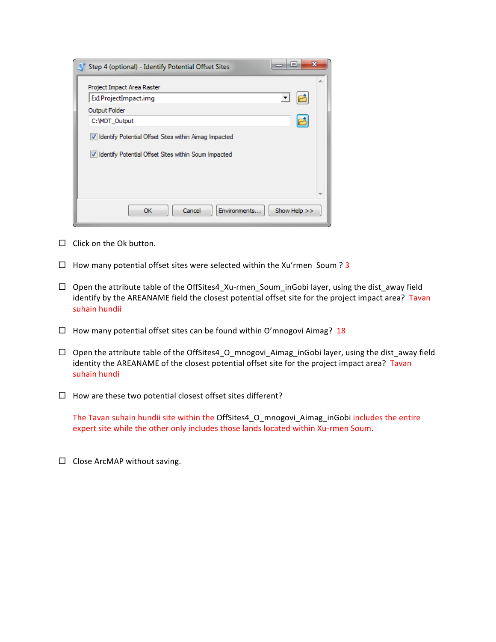| Step 4 (optional) - Identify Potential Offset Sites     | x<br>$\blacksquare$ |
|---------------------------------------------------------|---------------------|
| Project Impact Area Raster                              |                     |
| Ex1ProjectImpact.img                                    |                     |
| Output Folder                                           |                     |
| C: MDT_Output                                           | ع                   |
| V Identify Potential Offset Sites within Aimag Impacted |                     |
| V Identify Potential Offset Sites within Soum Impacted  |                     |
|                                                         |                     |
| Cancel<br>OK<br>Environments                            | Show Help >>        |

- $\Box$  Click on the Ok button.
- $\Box$  How many potential offset sites were selected within the Xu'rmen Soum ? 3
- $\Box$  Open the attribute table of the OffSites4\_Xu-rmen\_Soum\_inGobi layer, using the dist\_away field identify by the AREANAME field the closest potential offset site for the project impact area? Tavan suhain hundii
- $\Box$  How many potential offset sites can be found within O'mnogovi Aimag? 18
- $\Box$  Open the attribute table of the OffSites4 O mnogovi Aimag inGobi layer, using the dist away field identity the AREANAME of the closest potential offset site for the project impact area? Tavan suhain hundi
- $\Box$  How are these two potential closest offset sites different?

The Tavan suhain hundii site within the OffSites4\_O\_mnogovi\_Aimag\_inGobi includes the entire expert site while the other only includes those lands located within Xu-rmen Soum.

 $\Box$  Close ArcMAP without saving.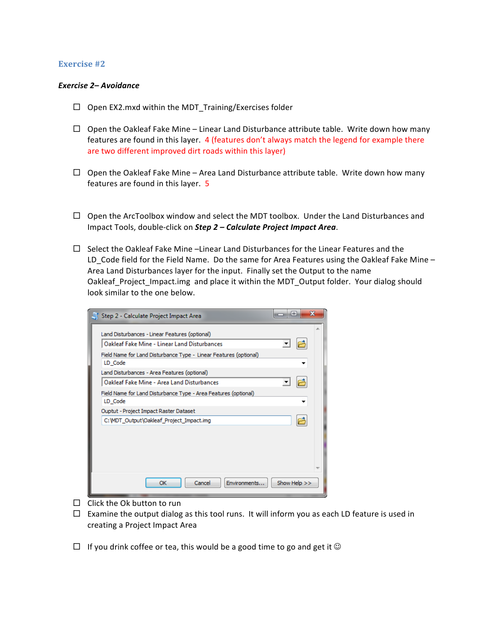#### **Exercise** #2

#### *Exercise 2– Avoidance*

- $\Box$  Open EX2.mxd within the MDT Training/Exercises folder
- $\Box$  Open the Oakleaf Fake Mine Linear Land Disturbance attribute table. Write down how many features are found in this layer. 4 (features don't always match the legend for example there are two different improved dirt roads within this layer)
- $\Box$  Open the Oakleaf Fake Mine Area Land Disturbance attribute table. Write down how many features are found in this layer.  $5$
- $\Box$  Open the ArcToolbox window and select the MDT toolbox. Under the Land Disturbances and Impact Tools, double-click on *Step 2 - Calculate Project Impact Area*.
- $\Box$  Select the Oakleaf Fake Mine -Linear Land Disturbances for the Linear Features and the LD Code field for the Field Name. Do the same for Area Features using the Oakleaf Fake Mine – Area Land Disturbances layer for the input. Finally set the Output to the name Oakleaf\_Project\_Impact.img and place it within the MDT\_Output folder. Your dialog should look similar to the one below.

| Step 2 - Calculate Project Impact Area                                                         | $=$          |  |
|------------------------------------------------------------------------------------------------|--------------|--|
| Land Disturbances - Linear Features (optional)<br>Oakleaf Fake Mine - Linear Land Disturbances | ▼            |  |
| Field Name for Land Disturbance Type - Linear Features (optional)<br>LD Code                   |              |  |
| Land Disturbances - Area Features (optional)<br>Oakleaf Fake Mine - Area Land Disturbances     |              |  |
| Field Name for Land Disturbance Type - Area Features (optional)<br>LD Code                     |              |  |
| Ouptut - Project Impact Raster Dataset<br>C: MDT Output \Oakleaf Project Impact.img            |              |  |
|                                                                                                |              |  |
| Cancel<br>Environments<br>OK                                                                   | Show Help >> |  |

- $\Box$  Click the Ok button to run
- $\Box$  Examine the output dialog as this tool runs. It will inform you as each LD feature is used in creating a Project Impact Area
- $\Box$  If you drink coffee or tea, this would be a good time to go and get it  $\odot$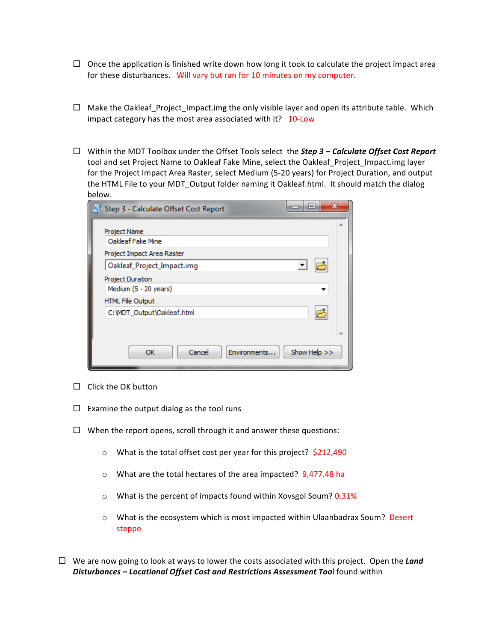- $\Box$  Once the application is finished write down how long it took to calculate the project impact area for these disturbances. Will vary but ran for 10 minutes on my computer.
- $\Box$  Make the Oakleaf Project Impact.img the only visible layer and open its attribute table. Which impact category has the most area associated with it?  $10$ -Low
- $\Box$  Within the MDT Toolbox under the Offset Tools select the **Step 3 Calculate Offset Cost Report** tool and set Project Name to Oakleaf Fake Mine, select the Oakleaf Project Impact.img layer for the Project Impact Area Raster, select Medium (5-20 years) for Project Duration, and output the HTML File to your MDT Output folder naming it Oakleaf.html. It should match the dialog below.

| Step 3 - Calculate Offset Cost Report                           | х<br>$\qquad \qquad \blacksquare$ |
|-----------------------------------------------------------------|-----------------------------------|
| Project Name<br>Oakleaf Fake Mine<br>Project Impact Area Raster | ∸                                 |
| Oakleaf_Project_Impact.img                                      |                                   |
| Project Duration<br>Medium (5 - 20 years)                       |                                   |
| <b>HTML File Output</b>                                         |                                   |
| C: WDT_Output \Oakleaf.html                                     |                                   |
| Cancel<br>Environments<br>ОК                                    | Show Help >>                      |

- $\Box$  Click the OK button
- $\Box$  Examine the output dialog as the tool runs
- $\Box$  When the report opens, scroll through it and answer these questions:
	- $\circ$  What is the total offset cost per year for this project? \$212,490
	- $\circ$  What are the total hectares of the area impacted? 9,477.48 ha
	- $\circ$  What is the percent of impacts found within Xovsgol Soum? 0.31%
	- $\circ$  What is the ecosystem which is most impacted within Ulaanbadrax Soum? Desert steppe
- $\Box$  We are now going to look at ways to lower the costs associated with this project. Open the **Land** Disturbances - Locational Offset Cost and Restrictions Assessment Tool found within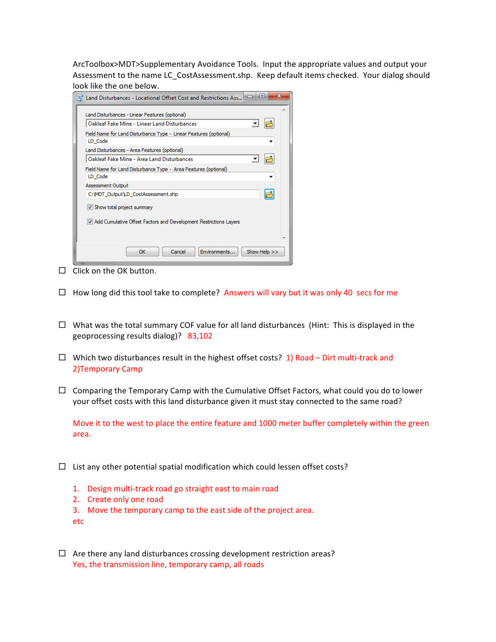ArcToolbox>MDT>Supplementary Avoidance Tools. Input the appropriate values and output your Assessment to the name LC CostAssessment.shp. Keep default items checked. Your dialog should look like the one below.

| х<br>回<br>े Land Disturbances - Locational Offset Cost and Restrictions Ass । |  |
|-------------------------------------------------------------------------------|--|
| Land Disturbances - Linear Features (optional)                                |  |
| Oakleaf Fake Mine - Linear Land Disturbances                                  |  |
| Field Name for Land Disturbance Type - Linear Features (optional)<br>LD Code  |  |
| Land Disturbances - Area Features (optional)                                  |  |
| Oakleaf Fake Mine - Area Land Disturbances                                    |  |
| Field Name for Land Disturbance Type - Area Features (optional)<br>LD Code    |  |
| Assessment Output                                                             |  |
| 户<br>C:\MDT_Output\LD_CostAssessment.shp                                      |  |
| V Show total project summary                                                  |  |
| 7 Add Cumulative Offset Factors and Development Restrictions Layers           |  |
| Show Help >><br>Environments<br>Cancel<br>OK                                  |  |

- $\Box$  Click on the OK button.
- $\Box$  How long did this tool take to complete? Answers will vary but it was only 40 secs for me
- $\Box$  What was the total summary COF value for all land disturbances (Hint: This is displayed in the geoprocessing results dialog)? 83,102
- $\Box$  Which two disturbances result in the highest offset costs? 1) Road Dirt multi-track and 2)Temporary Camp
- $\Box$  Comparing the Temporary Camp with the Cumulative Offset Factors, what could you do to lower your offset costs with this land disturbance given it must stay connected to the same road?

Move it to the west to place the entire feature and 1000 meter buffer completely within the green area.

- $\Box$  List any other potential spatial modification which could lessen offset costs?
	- 1. Design multi-track road go straight east to main road
	- 2. Create only one road
	- 3. Move the temporary camp to the east side of the project area.

etc

 $\Box$  Are there any land disturbances crossing development restriction areas? Yes, the transmission line, temporary camp, all roads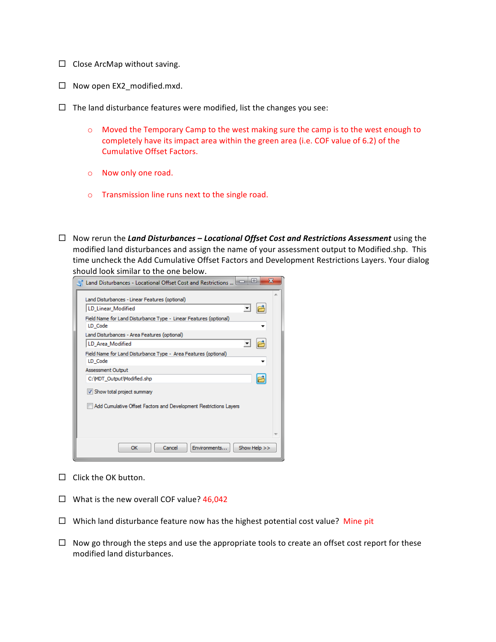- $\Box$  Close ArcMap without saving.
- $\square$  Now open EX2\_modified.mxd.
- $\Box$  The land disturbance features were modified, list the changes you see:
	- $\circ$  Moved the Temporary Camp to the west making sure the camp is to the west enough to completely have its impact area within the green area (i.e. COF value of 6.2) of the Cumulative Offset Factors.
	- o Now only one road.
	- $\circ$  Transmission line runs next to the single road.
- □ Now rerun the *Land Disturbances Locational Offset Cost and Restrictions Assessment* using the modified land disturbances and assign the name of your assessment output to Modified.shp. This time uncheck the Add Cumulative Offset Factors and Development Restrictions Layers. Your dialog should look similar to the one below.

| х<br>回<br>Land Disturbances - Locational Offset Cost and Restrictions      |
|----------------------------------------------------------------------------|
| Land Disturbances - Linear Features (optional)                             |
| LD Linear Modified                                                         |
| Field Name for Land Disturbance Type - Linear Features (optional)          |
| LD Code                                                                    |
| Land Disturbances - Area Features (optional)                               |
| LD Area Modified                                                           |
| Field Name for Land Disturbance Type - Area Features (optional)<br>LD Code |
| <b>Assessment Output</b>                                                   |
| C: WDT_Output Modified.shp<br>۴                                            |
| V Show total project summary                                               |
| Add Cumulative Offset Factors and Development Restrictions Layers          |
| Show Help >><br>Cancel<br>Environments<br>OK                               |

- $\Box$  Click the OK button.
- $\Box$  What is the new overall COF value? 46,042
- $\Box$  Which land disturbance feature now has the highest potential cost value? Mine pit
- $\Box$  Now go through the steps and use the appropriate tools to create an offset cost report for these modified land disturbances.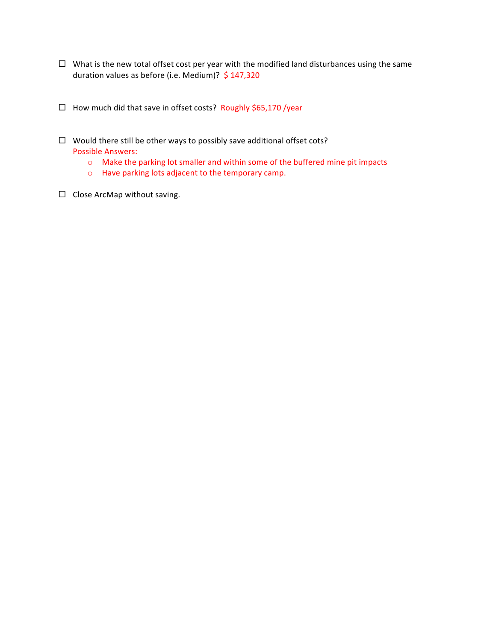- $\Box$  What is the new total offset cost per year with the modified land disturbances using the same duration values as before (i.e. Medium)? \$ 147,320
- $\Box$  How much did that save in offset costs? Roughly \$65,170 /year
- $\Box$  Would there still be other ways to possibly save additional offset cots? Possible Answers:
	- $\circ$  Make the parking lot smaller and within some of the buffered mine pit impacts
	- $\circ$  Have parking lots adjacent to the temporary camp.
- $\square$  Close ArcMap without saving.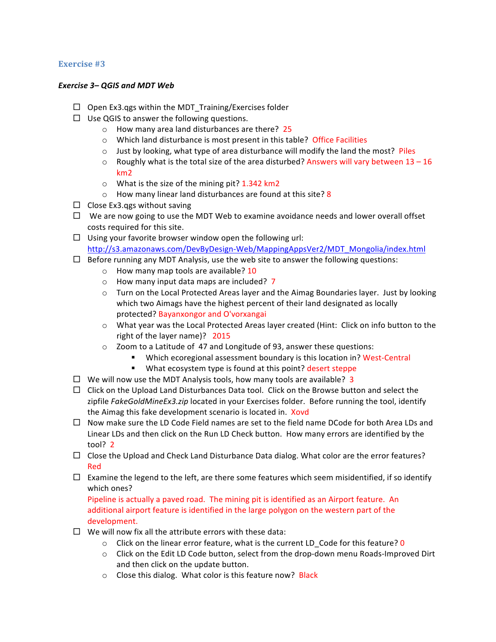#### Exercise #3

#### **Exercise 3– QGIS and MDT Web**

- $\Box$  Open Ex3.qgs within the MDT Training/Exercises folder
- $\Box$  Use QGIS to answer the following questions.
	- $\circ$  How many area land disturbances are there? 25
	- $\circ$  Which land disturbance is most present in this table? Office Facilities
	- $\circ$  Just by looking, what type of area disturbance will modify the land the most? Piles
	- $\circ$  Roughly what is the total size of the area disturbed? Answers will vary between 13 16 km2
	- $\circ$  What is the size of the mining pit? 1.342 km2
	- $\circ$  How many linear land disturbances are found at this site? 8
- $\Box$  Close Ex3.qgs without saving
- $\Box$  We are now going to use the MDT Web to examine avoidance needs and lower overall offset costs required for this site.
- $\Box$  Using your favorite browser window open the following url: http://s3.amazonaws.com/DevByDesign-Web/MappingAppsVer2/MDT\_Mongolia/index.html
- $\Box$  Before running any MDT Analysis, use the web site to answer the following questions:
	- $\circ$  How many map tools are available? 10
	- $\circ$  How many input data maps are included? 7
	- $\circ$  Turn on the Local Protected Areas layer and the Aimag Boundaries layer. Just by looking which two Aimags have the highest percent of their land designated as locally protected? Bayanxongor and O'vorxangai
	- $\circ$  What year was the Local Protected Areas layer created (Hint: Click on info button to the right of the layer name)?  $2015$
	- $\circ$  Zoom to a Latitude of 47 and Longitude of 93, answer these questions:
		- Which ecoregional assessment boundary is this location in? West-Central
		- What ecosystem type is found at this point? desert steppe
- $\Box$  We will now use the MDT Analysis tools, how many tools are available? 3
- $\Box$  Click on the Upload Land Disturbances Data tool. Click on the Browse button and select the zipfile FakeGoldMineEx3.zip located in your Exercises folder. Before running the tool, identify the Aimag this fake development scenario is located in. **Xovd**
- $\Box$  Now make sure the LD Code Field names are set to the field name DCode for both Area LDs and Linear LDs and then click on the Run LD Check button. How many errors are identified by the tool?  $2$
- $\Box$  Close the Upload and Check Land Disturbance Data dialog. What color are the error features? Red
- $\Box$  Examine the legend to the left, are there some features which seem misidentified, if so identify which ones?

Pipeline is actually a paved road. The mining pit is identified as an Airport feature. An additional airport feature is identified in the large polygon on the western part of the development.

- $\Box$  We will now fix all the attribute errors with these data:
	- $\circ$  Click on the linear error feature, what is the current LD Code for this feature? 0
	- $\circ$  Click on the Edit LD Code button, select from the drop-down menu Roads-Improved Dirt and then click on the update button.
	- $\circ$  Close this dialog. What color is this feature now? Black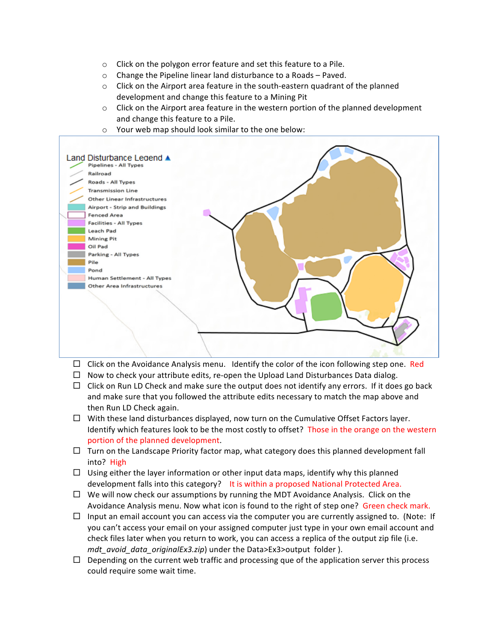- $\circ$  Click on the polygon error feature and set this feature to a Pile.
- $\circ$  Change the Pipeline linear land disturbance to a Roads Paved.
- $\circ$  Click on the Airport area feature in the south-eastern quadrant of the planned development and change this feature to a Mining Pit
- $\circ$  Click on the Airport area feature in the western portion of the planned development and change this feature to a Pile.
- $\circ$  Your web map should look similar to the one below:



- $\Box$  Click on the Avoidance Analysis menu. Identify the color of the icon following step one. Red
- $\Box$  Now to check your attribute edits, re-open the Upload Land Disturbances Data dialog.
- $\Box$  Click on Run LD Check and make sure the output does not identify any errors. If it does go back and make sure that you followed the attribute edits necessary to match the map above and then Run LD Check again.
- $\Box$  With these land disturbances displayed, now turn on the Cumulative Offset Factors layer. Identify which features look to be the most costly to offset? Those in the orange on the western portion of the planned development.
- $\Box$  Turn on the Landscape Priority factor map, what category does this planned development fall into? High
- $\Box$  Using either the layer information or other input data maps, identify why this planned development falls into this category? It is within a proposed National Protected Area.
- $\Box$  We will now check our assumptions by running the MDT Avoidance Analysis. Click on the Avoidance Analysis menu. Now what icon is found to the right of step one? Green check mark.
- $\Box$  Input an email account you can access via the computer you are currently assigned to. (Note: If you can't access your email on your assigned computer just type in your own email account and check files later when you return to work, you can access a replica of the output zip file (i.e. *mdt avoid data originalEx3.zip*) under the Data>Ex3>output folder ).
- $\Box$  Depending on the current web traffic and processing que of the application server this process could require some wait time.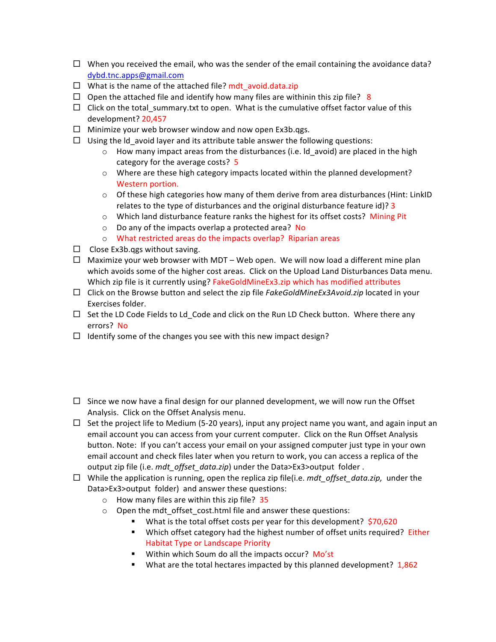- $\Box$  When you received the email, who was the sender of the email containing the avoidance data? dybd.tnc.apps@gmail.com
- $\Box$  What is the name of the attached file? mdt avoid.data.zip
- $\Box$  Open the attached file and identify how many files are withinin this zip file? 8
- $\Box$  Click on the total summary.txt to open. What is the cumulative offset factor value of this development? 20,457
- $\Box$  Minimize your web browser window and now open Ex3b.qgs.
- $\Box$  Using the Id avoid layer and its attribute table answer the following questions:
	- $\circ$  How many impact areas from the disturbances (i.e. Id\_avoid) are placed in the high category for the average costs? 5
	- $\circ$  Where are these high category impacts located within the planned development? Western portion.
	- $\circ$  Of these high categories how many of them derive from area disturbances (Hint: LinkID relates to the type of disturbances and the original disturbance feature  $id$ ? 3
	- $\circ$  Which land disturbance feature ranks the highest for its offset costs? Mining Pit
	- $\circ$  Do any of the impacts overlap a protected area? No
	- $\circ$  What restricted areas do the impacts overlap? Riparian areas
- $\Box$  Close Ex3b.qgs without saving.
- $\Box$  Maximize your web browser with MDT Web open. We will now load a different mine plan which avoids some of the higher cost areas. Click on the Upload Land Disturbances Data menu. Which zip file is it currently using? FakeGoldMineEx3.zip which has modified attributes
- $\square$  Click on the Browse button and select the zip file *FakeGoldMineEx3Avoid.zip* located in your Exercises folder.
- $\Box$  Set the LD Code Fields to Ld Code and click on the Run LD Check button. Where there any errors? No
- $\Box$  Identify some of the changes you see with this new impact design?
- $\square$  Since we now have a final design for our planned development, we will now run the Offset Analysis. Click on the Offset Analysis menu.
- $\Box$  Set the project life to Medium (5-20 years), input any project name you want, and again input an email account you can access from your current computer. Click on the Run Offset Analysis button. Note: If you can't access your email on your assigned computer just type in your own email account and check files later when you return to work, you can access a replica of the output zip file (i.e. *mdt\_offset\_data.zip*) under the Data>Ex3>output folder.
- $\Box$  While the application is running, open the replica zip file(i.e. *mdt offset data.zip*, under the Data>Ex3>output folder) and answer these questions:
	- $\circ$  How many files are within this zip file? 35
	- $\circ$  Open the mdt offset cost.html file and answer these questions:
		- What is the total offset costs per year for this development?  $$70,620$
		- **E** Which offset category had the highest number of offset units required? Either Habitat Type or Landscape Priority
		- Within which Soum do all the impacts occur? Mo'st
		- **What are the total hectares impacted by this planned development?**  $1,862$